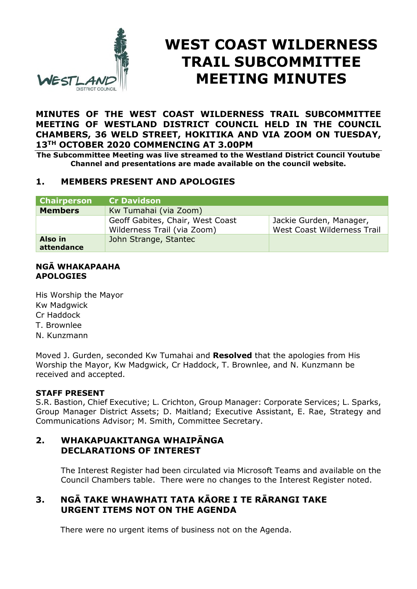

# **WEST COAST WILDERNESS TRAIL SUBCOMMITTEE MEETING MINUTES**

#### **MINUTES OF THE WEST COAST WILDERNESS TRAIL SUBCOMMITTEE MEETING OF WESTLAND DISTRICT COUNCIL HELD IN THE COUNCIL CHAMBERS, 36 WELD STREET, HOKITIKA AND VIA ZOOM ON TUESDAY, 13TH OCTOBER 2020 COMMENCING AT 3.00PM**

**The Subcommittee Meeting was live streamed to the Westland District Council Youtube Channel and presentations are made available on the council website.** 

# **1. MEMBERS PRESENT AND APOLOGIES**

| <b>Chairperson</b>    | <b>Cr Davidson</b>                                              |                                                        |
|-----------------------|-----------------------------------------------------------------|--------------------------------------------------------|
| <b>Members</b>        | Kw Tumahai (via Zoom)                                           |                                                        |
|                       | Geoff Gabites, Chair, West Coast<br>Wilderness Trail (via Zoom) | Jackie Gurden, Manager,<br>West Coast Wilderness Trail |
| Also in<br>attendance | John Strange, Stantec                                           |                                                        |

#### **NGĀ WHAKAPAAHA APOLOGIES**

His Worship the Mayor Kw Madgwick Cr Haddock T. Brownlee N. Kunzmann

Moved J. Gurden, seconded Kw Tumahai and **Resolved** that the apologies from His Worship the Mayor, Kw Madgwick, Cr Haddock, T. Brownlee, and N. Kunzmann be received and accepted.

#### **STAFF PRESENT**

S.R. Bastion, Chief Executive; L. Crichton, Group Manager: Corporate Services; L. Sparks, Group Manager District Assets; D. Maitland; Executive Assistant, E. Rae, Strategy and Communications Advisor; M. Smith, Committee Secretary.

#### **2. WHAKAPUAKITANGA WHAIPĀNGA DECLARATIONS OF INTEREST**

The Interest Register had been circulated via Microsoft Teams and available on the Council Chambers table. There were no changes to the Interest Register noted.

# **3. NGĀ TAKE WHAWHATI TATA KĀORE I TE RĀRANGI TAKE URGENT ITEMS NOT ON THE AGENDA**

There were no urgent items of business not on the Agenda.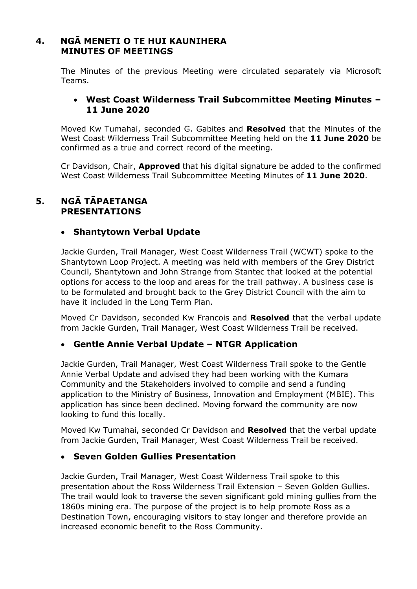# **4. NGĀ MENETI O TE HUI KAUNIHERA MINUTES OF MEETINGS**

The Minutes of the previous Meeting were circulated separately via Microsoft Teams.

## **West Coast Wilderness Trail Subcommittee Meeting Minutes – 11 June 2020**

Moved Kw Tumahai, seconded G. Gabites and **Resolved** that the Minutes of the West Coast Wilderness Trail Subcommittee Meeting held on the **11 June 2020** be confirmed as a true and correct record of the meeting.

Cr Davidson, Chair, **Approved** that his digital signature be added to the confirmed West Coast Wilderness Trail Subcommittee Meeting Minutes of **11 June 2020**.

## **5. NGĀ TĀPAETANGA PRESENTATIONS**

# **Shantytown Verbal Update**

Jackie Gurden, Trail Manager, West Coast Wilderness Trail (WCWT) spoke to the Shantytown Loop Project. A meeting was held with members of the Grey District Council, Shantytown and John Strange from Stantec that looked at the potential options for access to the loop and areas for the trail pathway. A business case is to be formulated and brought back to the Grey District Council with the aim to have it included in the Long Term Plan.

Moved Cr Davidson, seconded Kw Francois and **Resolved** that the verbal update from Jackie Gurden, Trail Manager, West Coast Wilderness Trail be received.

# **Gentle Annie Verbal Update – NTGR Application**

Jackie Gurden, Trail Manager, West Coast Wilderness Trail spoke to the Gentle Annie Verbal Update and advised they had been working with the Kumara Community and the Stakeholders involved to compile and send a funding application to the Ministry of Business, Innovation and Employment (MBIE). This application has since been declined. Moving forward the community are now looking to fund this locally.

Moved Kw Tumahai, seconded Cr Davidson and **Resolved** that the verbal update from Jackie Gurden, Trail Manager, West Coast Wilderness Trail be received.

## **Seven Golden Gullies Presentation**

Jackie Gurden, Trail Manager, West Coast Wilderness Trail spoke to this presentation about the Ross Wilderness Trail Extension – Seven Golden Gullies. The trail would look to traverse the seven significant gold mining gullies from the 1860s mining era. The purpose of the project is to help promote Ross as a Destination Town, encouraging visitors to stay longer and therefore provide an increased economic benefit to the Ross Community.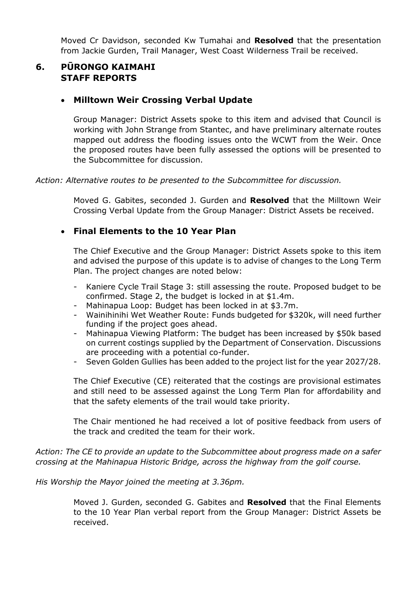Moved Cr Davidson, seconded Kw Tumahai and **Resolved** that the presentation from Jackie Gurden, Trail Manager, West Coast Wilderness Trail be received.

# **6. PŪRONGO KAIMAHI STAFF REPORTS**

#### **Milltown Weir Crossing Verbal Update**

Group Manager: District Assets spoke to this item and advised that Council is working with John Strange from Stantec, and have preliminary alternate routes mapped out address the flooding issues onto the WCWT from the Weir. Once the proposed routes have been fully assessed the options will be presented to the Subcommittee for discussion.

*Action: Alternative routes to be presented to the Subcommittee for discussion.* 

Moved G. Gabites, seconded J. Gurden and **Resolved** that the Milltown Weir Crossing Verbal Update from the Group Manager: District Assets be received.

## **Final Elements to the 10 Year Plan**

The Chief Executive and the Group Manager: District Assets spoke to this item and advised the purpose of this update is to advise of changes to the Long Term Plan. The project changes are noted below:

- Kaniere Cycle Trail Stage 3: still assessing the route. Proposed budget to be confirmed. Stage 2, the budget is locked in at \$1.4m.
- Mahinapua Loop: Budget has been locked in at \$3.7m.
- Wainihinihi Wet Weather Route: Funds budgeted for \$320k, will need further funding if the project goes ahead.
- Mahinapua Viewing Platform: The budget has been increased by \$50k based on current costings supplied by the Department of Conservation. Discussions are proceeding with a potential co-funder.
- Seven Golden Gullies has been added to the project list for the year 2027/28.

The Chief Executive (CE) reiterated that the costings are provisional estimates and still need to be assessed against the Long Term Plan for affordability and that the safety elements of the trail would take priority.

The Chair mentioned he had received a lot of positive feedback from users of the track and credited the team for their work.

*Action: The CE to provide an update to the Subcommittee about progress made on a safer crossing at the Mahinapua Historic Bridge, across the highway from the golf course.* 

*His Worship the Mayor joined the meeting at 3.36pm.* 

Moved J. Gurden, seconded G. Gabites and **Resolved** that the Final Elements to the 10 Year Plan verbal report from the Group Manager: District Assets be received.